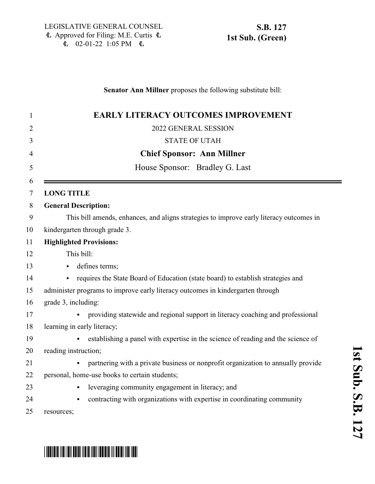### **Senator Ann Millner** proposes the following substitute bill:

| 1  | <b>EARLY LITERACY OUTCOMES IMPROVEMENT</b>                                              |
|----|-----------------------------------------------------------------------------------------|
| 2  | 2022 GENERAL SESSION                                                                    |
| 3  | <b>STATE OF UTAH</b>                                                                    |
| 4  | <b>Chief Sponsor: Ann Millner</b>                                                       |
| 5  | House Sponsor: Bradley G. Last                                                          |
| 6  |                                                                                         |
| 7  | <b>LONG TITLE</b>                                                                       |
| 8  | <b>General Description:</b>                                                             |
| 9  | This bill amends, enhances, and aligns strategies to improve early literacy outcomes in |
| 10 | kindergarten through grade 3.                                                           |
| 11 | <b>Highlighted Provisions:</b>                                                          |
| 12 | This bill:                                                                              |
| 13 | defines terms;                                                                          |
| 14 | requires the State Board of Education (state board) to establish strategies and         |
| 15 | administer programs to improve early literacy outcomes in kindergarten through          |
| 16 | grade 3, including:                                                                     |
| 17 | providing statewide and regional support in literacy coaching and professional          |
| 18 | learning in early literacy;                                                             |
| 19 | establishing a panel with expertise in the science of reading and the science of        |
| 20 | reading instruction;                                                                    |
| 21 | partnering with a private business or nonprofit organization to annually provide        |
| 22 | personal, home-use books to certain students;                                           |
| 23 | leveraging community engagement in literacy; and<br>$\bullet$                           |
| 24 | contracting with organizations with expertise in coordinating community                 |
| 25 | resources;                                                                              |

# \*SB0127S01\*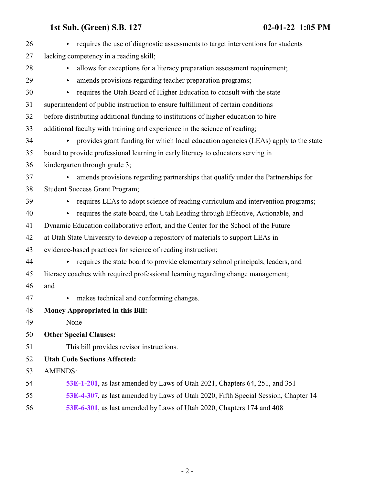| 26 | requires the use of diagnostic assessments to target interventions for students<br>▶ |
|----|--------------------------------------------------------------------------------------|
| 27 | lacking competency in a reading skill;                                               |
| 28 | allows for exceptions for a literacy preparation assessment requirement;<br>Þ        |
| 29 | amends provisions regarding teacher preparation programs;<br>▶                       |
| 30 | requires the Utah Board of Higher Education to consult with the state<br>▶           |
| 31 | superintendent of public instruction to ensure fulfillment of certain conditions     |
| 32 | before distributing additional funding to institutions of higher education to hire   |
| 33 | additional faculty with training and experience in the science of reading;           |
| 34 | provides grant funding for which local education agencies (LEAs) apply to the state  |
| 35 | board to provide professional learning in early literacy to educators serving in     |
| 36 | kindergarten through grade 3;                                                        |
| 37 | amends provisions regarding partnerships that qualify under the Partnerships for     |
| 38 | <b>Student Success Grant Program;</b>                                                |
| 39 | requires LEAs to adopt science of reading curriculum and intervention programs;<br>▶ |
| 40 | requires the state board, the Utah Leading through Effective, Actionable, and<br>▶   |
| 41 | Dynamic Education collaborative effort, and the Center for the School of the Future  |
| 42 | at Utah State University to develop a repository of materials to support LEAs in     |
| 43 | evidence-based practices for science of reading instruction;                         |
| 44 | requires the state board to provide elementary school principals, leaders, and<br>Þ. |
| 45 | literacy coaches with required professional learning regarding change management;    |
| 46 | and                                                                                  |
| 47 | makes technical and conforming changes.<br>Þ.                                        |
| 48 | <b>Money Appropriated in this Bill:</b>                                              |
| 49 | None                                                                                 |
| 50 | <b>Other Special Clauses:</b>                                                        |
| 51 | This bill provides revisor instructions.                                             |
| 52 | <b>Utah Code Sections Affected:</b>                                                  |
| 53 | <b>AMENDS:</b>                                                                       |
| 54 | 53E-1-201, as last amended by Laws of Utah 2021, Chapters 64, 251, and 351           |
| 55 | 53E-4-307, as last amended by Laws of Utah 2020, Fifth Special Session, Chapter 14   |
| 56 | 53E-6-301, as last amended by Laws of Utah 2020, Chapters 174 and 408                |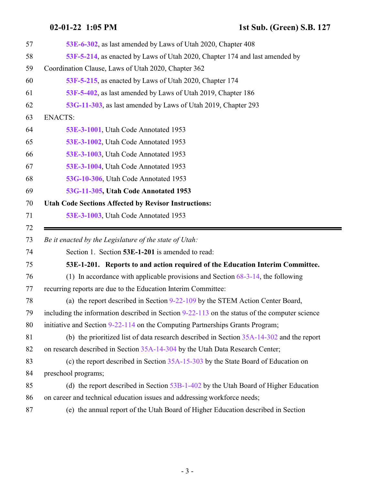<span id="page-2-0"></span>Ξ

| 57 | 53E-6-302, as last amended by Laws of Utah 2020, Chapter 408                                    |
|----|-------------------------------------------------------------------------------------------------|
| 58 | 53F-5-214, as enacted by Laws of Utah 2020, Chapter 174 and last amended by                     |
| 59 | Coordination Clause, Laws of Utah 2020, Chapter 362                                             |
| 60 | 53F-5-215, as enacted by Laws of Utah 2020, Chapter 174                                         |
| 61 | 53F-5-402, as last amended by Laws of Utah 2019, Chapter 186                                    |
| 62 | 53G-11-303, as last amended by Laws of Utah 2019, Chapter 293                                   |
| 63 | <b>ENACTS:</b>                                                                                  |
| 64 | 53E-3-1001, Utah Code Annotated 1953                                                            |
| 65 | 53E-3-1002, Utah Code Annotated 1953                                                            |
| 66 | 53E-3-1003, Utah Code Annotated 1953                                                            |
| 67 | 53E-3-1004, Utah Code Annotated 1953                                                            |
| 68 | 53G-10-306, Utah Code Annotated 1953                                                            |
| 69 | 53G-11-305, Utah Code Annotated 1953                                                            |
| 70 | <b>Utah Code Sections Affected by Revisor Instructions:</b>                                     |
| 71 | 53E-3-1003, Utah Code Annotated 1953                                                            |
| 72 |                                                                                                 |
|    |                                                                                                 |
| 73 | Be it enacted by the Legislature of the state of Utah:                                          |
| 74 | Section 1. Section 53E-1-201 is amended to read:                                                |
| 75 | 53E-1-201. Reports to and action required of the Education Interim Committee.                   |
| 76 | (1) In accordance with applicable provisions and Section $68-3-14$ , the following              |
| 77 | recurring reports are due to the Education Interim Committee:                                   |
| 78 | (a) the report described in Section 9-22-109 by the STEM Action Center Board,                   |
| 79 | including the information described in Section $9-22-113$ on the status of the computer science |
| 80 | initiative and Section 9-22-114 on the Computing Partnerships Grants Program;                   |
| 81 | (b) the prioritized list of data research described in Section 35A-14-302 and the report        |
| 82 | on research described in Section 35A-14-304 by the Utah Data Research Center;                   |
| 83 | (c) the report described in Section 35A-15-303 by the State Board of Education on               |
| 84 | preschool programs;                                                                             |
| 85 | (d) the report described in Section $53B-1-402$ by the Utah Board of Higher Education           |
| 86 | on career and technical education issues and addressing workforce needs;                        |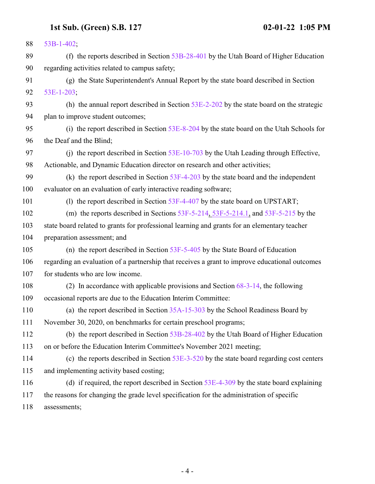| 88  | 53B-1-402;                                                                                     |
|-----|------------------------------------------------------------------------------------------------|
| 89  | (f) the reports described in Section $53B-28-401$ by the Utah Board of Higher Education        |
| 90  | regarding activities related to campus safety;                                                 |
| 91  | (g) the State Superintendent's Annual Report by the state board described in Section           |
| 92  | $53E-1-203$ ;                                                                                  |
| 93  | (h) the annual report described in Section $53E-2-202$ by the state board on the strategic     |
| 94  | plan to improve student outcomes;                                                              |
| 95  | (i) the report described in Section 53E-8-204 by the state board on the Utah Schools for       |
| 96  | the Deaf and the Blind;                                                                        |
| 97  | (i) the report described in Section $53E-10-703$ by the Utah Leading through Effective,        |
| 98  | Actionable, and Dynamic Education director on research and other activities;                   |
| 99  | (k) the report described in Section $53F-4-203$ by the state board and the independent         |
| 100 | evaluator on an evaluation of early interactive reading software;                              |
| 101 | (1) the report described in Section 53F-4-407 by the state board on UPSTART;                   |
| 102 | (m) the reports described in Sections $53F-5-214$ , $53F-5-214.1$ , and $53F-5-215$ by the     |
| 103 | state board related to grants for professional learning and grants for an elementary teacher   |
| 104 | preparation assessment; and                                                                    |
| 105 | (n) the report described in Section $53F-5-405$ by the State Board of Education                |
| 106 | regarding an evaluation of a partnership that receives a grant to improve educational outcomes |
| 107 | for students who are low income.                                                               |
| 108 | (2) In accordance with applicable provisions and Section $68-3-14$ , the following             |
| 109 | occasional reports are due to the Education Interim Committee:                                 |
| 110 | (a) the report described in Section $35A-15-303$ by the School Readiness Board by              |
| 111 | November 30, 2020, on benchmarks for certain preschool programs;                               |
| 112 | (b) the report described in Section 53B-28-402 by the Utah Board of Higher Education           |
| 113 | on or before the Education Interim Committee's November 2021 meeting;                          |
| 114 | (c) the reports described in Section $53E-3-520$ by the state board regarding cost centers     |
| 115 | and implementing activity based costing;                                                       |
| 116 | (d) if required, the report described in Section $53E-4-309$ by the state board explaining     |
| 117 | the reasons for changing the grade level specification for the administration of specific      |
| 118 | assessments;                                                                                   |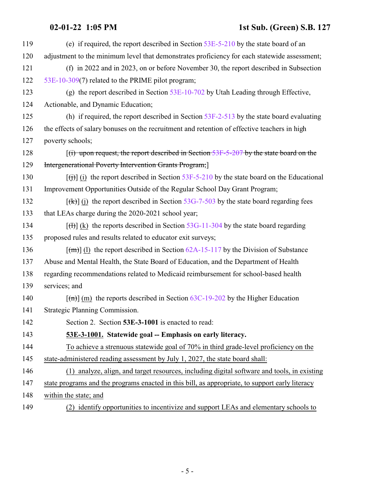<span id="page-4-0"></span>

| 119 | (e) if required, the report described in Section $53E-5-210$ by the state board of an                        |
|-----|--------------------------------------------------------------------------------------------------------------|
| 120 | adjustment to the minimum level that demonstrates proficiency for each statewide assessment;                 |
| 121 | (f) in 2022 and in 2023, on or before November 30, the report described in Subsection                        |
| 122 | 53E-10-309(7) related to the PRIME pilot program;                                                            |
| 123 | (g) the report described in Section $53E-10-702$ by Utah Leading through Effective,                          |
| 124 | Actionable, and Dynamic Education;                                                                           |
| 125 | (h) if required, the report described in Section $53F-2-513$ by the state board evaluating                   |
| 126 | the effects of salary bonuses on the recruitment and retention of effective teachers in high                 |
| 127 | poverty schools;                                                                                             |
| 128 | $f(t)$ upon request, the report described in Section 53F-5-207 by the state board on the                     |
| 129 | Intergenerational Poverty Intervention Grants Program;                                                       |
| 130 | $[\text{H}(\mathbf{t})]$ (i) the report described in Section 53F-5-210 by the state board on the Educational |
| 131 | Improvement Opportunities Outside of the Regular School Day Grant Program;                                   |
| 132 | $[\frac{f(k)}{k}]$ (i) the report described in Section 53G-7-503 by the state board regarding fees           |
| 133 | that LEAs charge during the 2020-2021 school year;                                                           |
| 134 | $[\text{H}](k)$ the reports described in Section 53G-11-304 by the state board regarding                     |
| 135 | proposed rules and results related to educator exit surveys;                                                 |
| 136 | $\lceil$ (m) (1) the report described in Section 62A-15-117 by the Division of Substance                     |
| 137 | Abuse and Mental Health, the State Board of Education, and the Department of Health                          |
| 138 | regarding recommendations related to Medicaid reimbursement for school-based health                          |
| 139 | services; and                                                                                                |
| 140 | $\lceil$ (m) (m) the reports described in Section 63C-19-202 by the Higher Education                         |
| 141 | Strategic Planning Commission.                                                                               |
| 142 | Section 2. Section 53E-3-1001 is enacted to read:                                                            |
| 143 | 53E-3-1001. Statewide goal -- Emphasis on early literacy.                                                    |
| 144 | To achieve a strenuous statewide goal of 70% in third grade-level proficiency on the                         |
| 145 | state-administered reading assessment by July 1, 2027, the state board shall:                                |
| 146 | (1) analyze, align, and target resources, including digital software and tools, in existing                  |
| 147 | state programs and the programs enacted in this bill, as appropriate, to support early literacy              |
| 148 | within the state; and                                                                                        |
| 149 | (2) identify opportunities to incentivize and support LEAs and elementary schools to                         |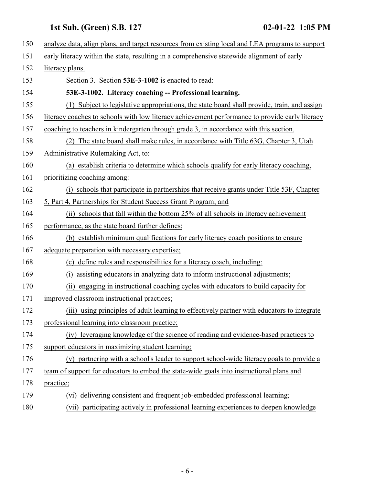<span id="page-5-0"></span>

| 150 | analyze data, align plans, and target resources from existing local and LEA programs to support |
|-----|-------------------------------------------------------------------------------------------------|
| 151 | early literacy within the state, resulting in a comprehensive statewide alignment of early      |
| 152 | literacy plans.                                                                                 |
| 153 | Section 3. Section 53E-3-1002 is enacted to read:                                               |
| 154 | 53E-3-1002. Literacy coaching -- Professional learning.                                         |
| 155 | Subject to legislative appropriations, the state board shall provide, train, and assign         |
| 156 | literacy coaches to schools with low literacy achievement performance to provide early literacy |
| 157 | coaching to teachers in kindergarten through grade 3, in accordance with this section.          |
| 158 | (2) The state board shall make rules, in accordance with Title 63G, Chapter 3, Utah             |
| 159 | Administrative Rulemaking Act, to:                                                              |
| 160 | (a) establish criteria to determine which schools qualify for early literacy coaching,          |
| 161 | prioritizing coaching among:                                                                    |
| 162 | (i) schools that participate in partnerships that receive grants under Title 53F, Chapter       |
| 163 | 5, Part 4, Partnerships for Student Success Grant Program; and                                  |
| 164 | (ii) schools that fall within the bottom 25% of all schools in literacy achievement             |
| 165 | performance, as the state board further defines;                                                |
| 166 | (b) establish minimum qualifications for early literacy coach positions to ensure               |
| 167 | adequate preparation with necessary expertise;                                                  |
| 168 | (c) define roles and responsibilities for a literacy coach, including:                          |
| 169 | assisting educators in analyzing data to inform instructional adjustments;<br>(i)               |
| 170 | engaging in instructional coaching cycles with educators to build capacity for<br>(ii)          |
| 171 | improved classroom instructional practices;                                                     |
| 172 | (iii) using principles of adult learning to effectively partner with educators to integrate     |
| 173 | professional learning into classroom practice;                                                  |
| 174 | (iv) leveraging knowledge of the science of reading and evidence-based practices to             |
| 175 | support educators in maximizing student learning;                                               |
| 176 | (v) partnering with a school's leader to support school-wide literacy goals to provide a        |
| 177 | team of support for educators to embed the state-wide goals into instructional plans and        |
| 178 | practice;                                                                                       |
| 179 | delivering consistent and frequent job-embedded professional learning;<br>(vi)                  |
| 180 | (vii) participating actively in professional learning experiences to deepen knowledge           |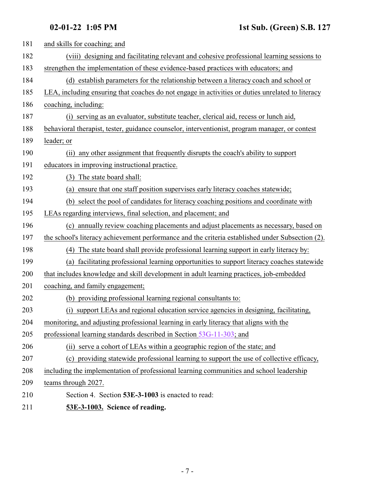<span id="page-6-0"></span>

| 181 | and skills for coaching; and                                                                     |
|-----|--------------------------------------------------------------------------------------------------|
| 182 | (viii) designing and facilitating relevant and cohesive professional learning sessions to        |
| 183 | strengthen the implementation of these evidence-based practices with educators; and              |
| 184 | (d) establish parameters for the relationship between a literacy coach and school or             |
| 185 | LEA, including ensuring that coaches do not engage in activities or duties unrelated to literacy |
| 186 | coaching, including:                                                                             |
| 187 | (i) serving as an evaluator, substitute teacher, clerical aid, recess or lunch aid,              |
| 188 | behavioral therapist, tester, guidance counselor, interventionist, program manager, or contest   |
| 189 | leader; or                                                                                       |
| 190 | (ii) any other assignment that frequently disrupts the coach's ability to support                |
| 191 | educators in improving instructional practice.                                                   |
| 192 | (3) The state board shall:                                                                       |
| 193 | ensure that one staff position supervises early literacy coaches statewide;<br>(a)               |
| 194 | (b) select the pool of candidates for literacy coaching positions and coordinate with            |
| 195 | LEAs regarding interviews, final selection, and placement; and                                   |
| 196 | (c) annually review coaching placements and adjust placements as necessary, based on             |
| 197 | the school's literacy achievement performance and the criteria established under Subsection (2). |
| 198 | The state board shall provide professional learning support in early literacy by:<br>(4)         |
| 199 | (a) facilitating professional learning opportunities to support literacy coaches statewide       |
| 200 | that includes knowledge and skill development in adult learning practices, job-embedded          |
| 201 | coaching, and family engagement;                                                                 |
| 202 | (b) providing professional learning regional consultants to:                                     |
| 203 | (i) support LEAs and regional education service agencies in designing, facilitating,             |
| 204 | monitoring, and adjusting professional learning in early literacy that aligns with the           |
| 205 | professional learning standards described in Section 53G-11-303; and                             |
| 206 | (ii) serve a cohort of LEAs within a geographic region of the state; and                         |
| 207 | (c) providing statewide professional learning to support the use of collective efficacy,         |
| 208 | including the implementation of professional learning communities and school leadership          |
| 209 | teams through 2027.                                                                              |
| 210 | Section 4. Section 53E-3-1003 is enacted to read:                                                |
| 211 | 53E-3-1003. Science of reading.                                                                  |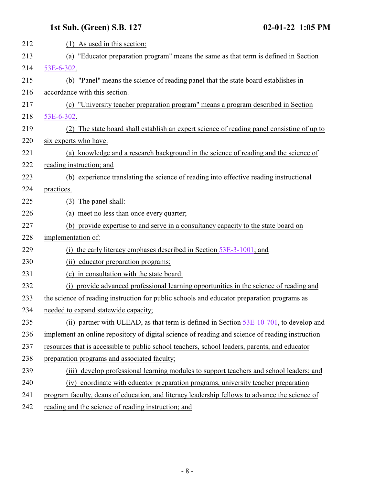| 212 | $(1)$ As used in this section:                                                                  |
|-----|-------------------------------------------------------------------------------------------------|
| 213 | "Educator preparation program" means the same as that term is defined in Section<br>(a)         |
| 214 | 53E-6-302.                                                                                      |
| 215 | (b) "Panel" means the science of reading panel that the state board establishes in              |
| 216 | accordance with this section.                                                                   |
| 217 | (c) "University teacher preparation program" means a program described in Section               |
| 218 | 53E-6-302.                                                                                      |
| 219 | (2) The state board shall establish an expert science of reading panel consisting of up to      |
| 220 | six experts who have:                                                                           |
| 221 | (a) knowledge and a research background in the science of reading and the science of            |
| 222 | reading instruction; and                                                                        |
| 223 | (b) experience translating the science of reading into effective reading instructional          |
| 224 | practices.                                                                                      |
| 225 | (3) The panel shall:                                                                            |
| 226 | (a) meet no less than once every quarter;                                                       |
| 227 | (b) provide expertise to and serve in a consultancy capacity to the state board on              |
| 228 | implementation of:                                                                              |
| 229 | (i) the early literacy emphases described in Section $53E-3-1001$ ; and                         |
| 230 | (ii) educator preparation programs;                                                             |
| 231 | (c) in consultation with the state board:                                                       |
| 232 | provide advanced professional learning opportunities in the science of reading and<br>(i)       |
| 233 | the science of reading instruction for public schools and educator preparation programs as      |
| 234 | needed to expand statewide capacity;                                                            |
| 235 | (ii) partner with ULEAD, as that term is defined in Section $53E-10-701$ , to develop and       |
| 236 | implement an online repository of digital science of reading and science of reading instruction |
| 237 | resources that is accessible to public school teachers, school leaders, parents, and educator   |
| 238 | preparation programs and associated faculty;                                                    |
| 239 | develop professional learning modules to support teachers and school leaders; and<br>(iii)      |
| 240 | (iv) coordinate with educator preparation programs, university teacher preparation              |
| 241 | program faculty, deans of education, and literacy leadership fellows to advance the science of  |
| 242 | reading and the science of reading instruction; and                                             |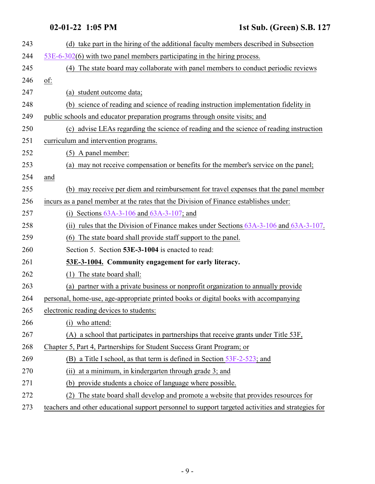<span id="page-8-0"></span>

| 243 | (d) take part in the hiring of the additional faculty members described in Subsection              |
|-----|----------------------------------------------------------------------------------------------------|
| 244 | $53E-6-302(6)$ with two panel members participating in the hiring process.                         |
| 245 | (4) The state board may collaborate with panel members to conduct periodic reviews                 |
| 246 | of:                                                                                                |
| 247 | (a) student outcome data;                                                                          |
| 248 | (b) science of reading and science of reading instruction implementation fidelity in               |
| 249 | public schools and educator preparation programs through onsite visits; and                        |
| 250 | (c) advise LEAs regarding the science of reading and the science of reading instruction            |
| 251 | curriculum and intervention programs.                                                              |
| 252 | (5) A panel member:                                                                                |
| 253 | (a) may not receive compensation or benefits for the member's service on the panel;                |
| 254 | and                                                                                                |
| 255 | (b) may receive per diem and reimbursement for travel expenses that the panel member               |
| 256 | incurs as a panel member at the rates that the Division of Finance establishes under:              |
| 257 | (i) Sections $63A-3-106$ and $63A-3-107$ ; and                                                     |
| 258 | (ii) rules that the Division of Finance makes under Sections 63A-3-106 and 63A-3-107.              |
| 259 | (6) The state board shall provide staff support to the panel.                                      |
| 260 | Section 5. Section 53E-3-1004 is enacted to read:                                                  |
| 261 | 53E-3-1004. Community engagement for early literacy.                                               |
| 262 | (1) The state board shall:                                                                         |
| 263 | (a) partner with a private business or nonprofit organization to annually provide                  |
| 264 | personal, home-use, age-appropriate printed books or digital books with accompanying               |
| 265 | electronic reading devices to students:                                                            |
| 266 | (i) who attend:                                                                                    |
| 267 | (A) a school that participates in partnerships that receive grants under Title 53F,                |
| 268 | Chapter 5, Part 4, Partnerships for Student Success Grant Program; or                              |
| 269 | (B) a Title I school, as that term is defined in Section 53F-2-523; and                            |
| 270 | at a minimum, in kindergarten through grade 3; and<br>(ii)                                         |
| 271 | provide students a choice of language where possible.<br>(b)                                       |
| 272 | The state board shall develop and promote a website that provides resources for<br>(2)             |
| 273 | teachers and other educational support personnel to support targeted activities and strategies for |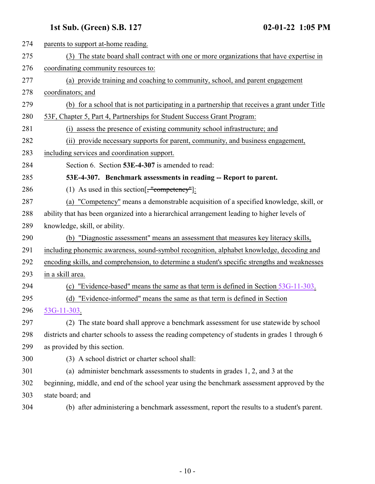<span id="page-9-0"></span>

| 274 | parents to support at-home reading.                                                              |
|-----|--------------------------------------------------------------------------------------------------|
| 275 | (3) The state board shall contract with one or more organizations that have expertise in         |
| 276 | coordinating community resources to:                                                             |
| 277 | (a) provide training and coaching to community, school, and parent engagement                    |
| 278 | coordinators; and                                                                                |
| 279 | (b) for a school that is not participating in a partnership that receives a grant under Title    |
| 280 | 53F, Chapter 5, Part 4, Partnerships for Student Success Grant Program:                          |
| 281 | (i) assess the presence of existing community school infrastructure; and                         |
| 282 | (ii) provide necessary supports for parent, community, and business engagement,                  |
| 283 | including services and coordination support.                                                     |
| 284 | Section 6. Section 53E-4-307 is amended to read:                                                 |
| 285 | 53E-4-307. Benchmark assessments in reading -- Report to parent.                                 |
| 286 | (1) As used in this section $\left[\frac{1}{2}, \frac{1}{2}, \frac{1}{2}\right]$ :               |
| 287 | (a) "Competency" means a demonstrable acquisition of a specified knowledge, skill, or            |
| 288 | ability that has been organized into a hierarchical arrangement leading to higher levels of      |
| 289 | knowledge, skill, or ability.                                                                    |
| 290 | (b) "Diagnostic assessment" means an assessment that measures key literacy skills,               |
| 291 | including phonemic awareness, sound-symbol recognition, alphabet knowledge, decoding and         |
| 292 | encoding skills, and comprehension, to determine a student's specific strengths and weaknesses   |
| 293 | in a skill area.                                                                                 |
| 294 | "Evidence-based" means the same as that term is defined in Section 53G-11-303.<br>(c)            |
| 295 | (d) "Evidence-informed" means the same as that term is defined in Section                        |
| 296 | 53G-11-303.                                                                                      |
| 297 | (2) The state board shall approve a benchmark assessment for use statewide by school             |
| 298 | districts and charter schools to assess the reading competency of students in grades 1 through 6 |
| 299 | as provided by this section.                                                                     |
| 300 | (3) A school district or charter school shall:                                                   |
| 301 | (a) administer benchmark assessments to students in grades 1, 2, and 3 at the                    |
| 302 | beginning, middle, and end of the school year using the benchmark assessment approved by the     |
| 303 | state board; and                                                                                 |
| 304 | (b) after administering a benchmark assessment, report the results to a student's parent.        |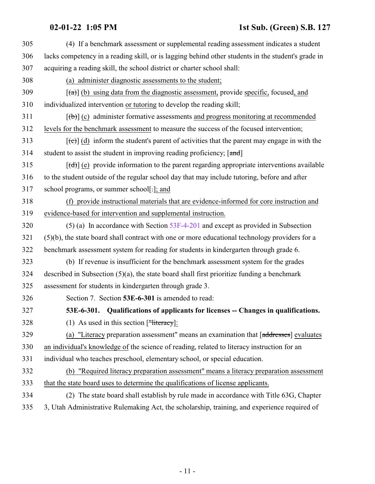### **02-01-22 1:05 PM 1st Sub. (Green) S.B. 127**

<span id="page-10-0"></span>

| 305 | (4) If a benchmark assessment or supplemental reading assessment indicates a student                      |
|-----|-----------------------------------------------------------------------------------------------------------|
| 306 | lacks competency in a reading skill, or is lagging behind other students in the student's grade in        |
| 307 | acquiring a reading skill, the school district or charter school shall:                                   |
| 308 | (a) administer diagnostic assessments to the student;                                                     |
| 309 | $[\text{a} \cdot \text{b}]$ (b) using data from the diagnostic assessment, provide specific, focused, and |
| 310 | individualized intervention or tutoring to develop the reading skill;                                     |
| 311 | $[\phi]$ (c) administer formative assessments and progress monitoring at recommended                      |
| 312 | levels for the benchmark assessment to measure the success of the focused intervention;                   |
| 313 | $[\text{et}]$ (d) inform the student's parent of activities that the parent may engage in with the        |
| 314 | student to assist the student in improving reading proficiency; [and]                                     |
| 315 | $[\text{(\text{d})}]$ (e) provide information to the parent regarding appropriate interventions available |
| 316 | to the student outside of the regular school day that may include tutoring, before and after              |
| 317 | school programs, or summer school[-]; and                                                                 |
| 318 | (f) provide instructional materials that are evidence-informed for core instruction and                   |
| 319 | evidence-based for intervention and supplemental instruction.                                             |
| 320 | $(5)$ (a) In accordance with Section 53F-4-201 and except as provided in Subsection                       |
| 321 | (5)(b), the state board shall contract with one or more educational technology providers for a            |
| 322 | benchmark assessment system for reading for students in kindergarten through grade 6.                     |
| 323 | (b) If revenue is insufficient for the benchmark assessment system for the grades                         |
| 324 | described in Subsection $(5)(a)$ , the state board shall first prioritize funding a benchmark             |
| 325 | assessment for students in kindergarten through grade 3.                                                  |
| 326 | Section 7. Section 53E-6-301 is amended to read:                                                          |
| 327 | 53E-6-301. Qualifications of applicants for licenses -- Changes in qualifications.                        |
| 328 | (1) As used in this section $[\frac{\text{m}}{\text{Heteracy}}]$ :                                        |
| 329 | (a) "Literacy preparation assessment" means an examination that $[addresses]$ evaluates                   |
| 330 | an individual's knowledge of the science of reading, related to literacy instruction for an               |
| 331 | individual who teaches preschool, elementary school, or special education.                                |
| 332 | (b) "Required literacy preparation assessment" means a literacy preparation assessment                    |
| 333 | that the state board uses to determine the qualifications of license applicants.                          |
| 334 | (2) The state board shall establish by rule made in accordance with Title 63G, Chapter                    |
| 335 | 3, Utah Administrative Rulemaking Act, the scholarship, training, and experience required of              |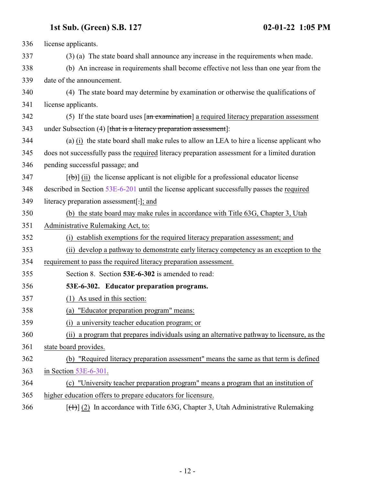<span id="page-11-0"></span>

| 336 | license applicants.                                                                             |
|-----|-------------------------------------------------------------------------------------------------|
| 337 | (3) (a) The state board shall announce any increase in the requirements when made.              |
| 338 | (b) An increase in requirements shall become effective not less than one year from the          |
| 339 | date of the announcement.                                                                       |
| 340 | (4) The state board may determine by examination or otherwise the qualifications of             |
| 341 | license applicants.                                                                             |
| 342 | (5) If the state board uses $\lceil$ an examination] a required literacy preparation assessment |
| 343 | under Subsection (4) [that is a literacy preparation assessment]:                               |
| 344 | (a) $(i)$ the state board shall make rules to allow an LEA to hire a license applicant who      |
| 345 | does not successfully pass the required literacy preparation assessment for a limited duration  |
| 346 | pending successful passage; and                                                                 |
| 347 | $[\phi]$ (ii) the license applicant is not eligible for a professional educator license         |
| 348 | described in Section 53E-6-201 until the license applicant successfully passes the required     |
| 349 | literacy preparation assessment[-]; and                                                         |
| 350 | (b) the state board may make rules in accordance with Title 63G, Chapter 3, Utah                |
| 351 | Administrative Rulemaking Act, to:                                                              |
| 352 | (i) establish exemptions for the required literacy preparation assessment; and                  |
| 353 | (ii) develop a pathway to demonstrate early literacy competency as an exception to the          |
| 354 | requirement to pass the required literacy preparation assessment.                               |
| 355 | Section 8. Section 53E-6-302 is amended to read:                                                |
| 356 | 53E-6-302. Educator preparation programs.                                                       |
| 357 | $(1)$ As used in this section:                                                                  |
| 358 | (a) "Educator preparation program" means:                                                       |
| 359 | (i) a university teacher education program; or                                                  |
| 360 | (ii) a program that prepares individuals using an alternative pathway to licensure, as the      |
| 361 | state board provides.                                                                           |
| 362 | (b) "Required literacy preparation assessment" means the same as that term is defined           |
| 363 | in Section $53E-6-301$ .                                                                        |
| 364 | (c) "University teacher preparation program" means a program that an institution of             |
| 365 | higher education offers to prepare educators for licensure.                                     |
| 366 | $[\text{(+)}]$ (2) In accordance with Title 63G, Chapter 3, Utah Administrative Rulemaking      |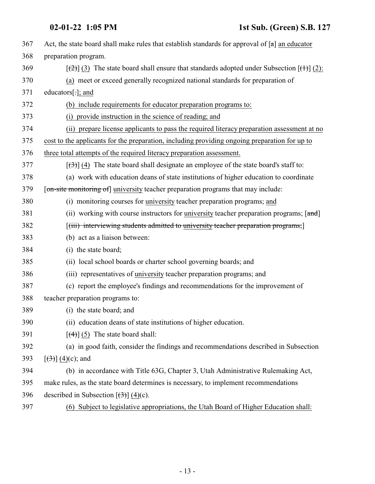| 367 |                                                                                                               |
|-----|---------------------------------------------------------------------------------------------------------------|
|     | Act, the state board shall make rules that establish standards for approval of $[a]$ an educator              |
| 368 | preparation program.                                                                                          |
| 369 | $[\frac{1}{2}]$ (3) The state board shall ensure that standards adopted under Subsection $[\frac{1}{2}]$ (2): |
| 370 | (a) meet or exceed generally recognized national standards for preparation of                                 |
| 371 | educators $[\cdot]$ ; and                                                                                     |
| 372 | (b) include requirements for educator preparation programs to:                                                |
| 373 | (i) provide instruction in the science of reading; and                                                        |
| 374 | (ii) prepare license applicants to pass the required literacy preparation assessment at no                    |
| 375 | cost to the applicants for the preparation, including providing ongoing preparation for up to                 |
| 376 | three total attempts of the required literacy preparation assessment.                                         |
| 377 | $[\left(\frac{1}{2}\right)]$ (4) The state board shall designate an employee of the state board's staff to:   |
| 378 | (a) work with education deans of state institutions of higher education to coordinate                         |
| 379 | [on-site monitoring of] university teacher preparation programs that may include:                             |
| 380 | (i) monitoring courses for <i>university</i> teacher preparation programs; and                                |
| 381 | (ii) working with course instructors for university teacher preparation programs; [and]                       |
| 382 | [(iii) interviewing students admitted to university teacher preparation programs;]                            |
| 383 | (b) act as a liaison between:                                                                                 |
| 384 | (i) the state board;                                                                                          |
| 385 | (ii) local school boards or charter school governing boards; and                                              |
| 386 | (iii) representatives of university teacher preparation programs; and                                         |
| 387 | (c) report the employee's findings and recommendations for the improvement of                                 |
| 388 | teacher preparation programs to:                                                                              |
| 389 | (i) the state board; and                                                                                      |
| 390 | (ii) education deans of state institutions of higher education.                                               |
| 391 | $[\left(4\right)]$ (5) The state board shall:                                                                 |
| 392 | (a) in good faith, consider the findings and recommendations described in Subsection                          |
| 393 | $[\left(3\right)] (4)(c)$ ; and                                                                               |
| 394 | (b) in accordance with Title 63G, Chapter 3, Utah Administrative Rulemaking Act,                              |
| 395 | make rules, as the state board determines is necessary, to implement recommendations                          |
| 396 | described in Subsection $[\frac{3}{2}]$ (4)(c).                                                               |
| 397 | (6) Subject to legislative appropriations, the Utah Board of Higher Education shall:                          |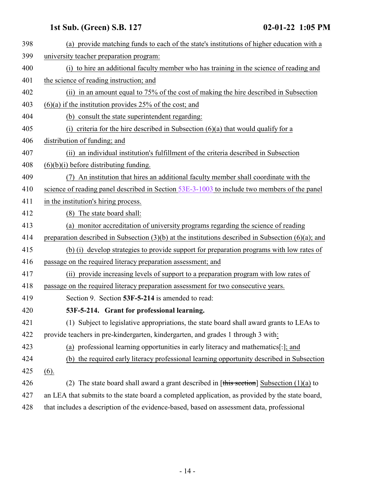<span id="page-13-0"></span>

| 398 | (a) provide matching funds to each of the state's institutions of higher education with a               |
|-----|---------------------------------------------------------------------------------------------------------|
| 399 | university teacher preparation program:                                                                 |
| 400 | (i) to hire an additional faculty member who has training in the science of reading and                 |
| 401 | the science of reading instruction; and                                                                 |
| 402 | (ii) in an amount equal to 75% of the cost of making the hire described in Subsection                   |
| 403 | $(6)(a)$ if the institution provides 25% of the cost; and                                               |
| 404 | (b) consult the state superintendent regarding:                                                         |
| 405 | (i) criteria for the hire described in Subsection $(6)(a)$ that would qualify for a                     |
| 406 | distribution of funding; and                                                                            |
| 407 | (ii) an individual institution's fulfillment of the criteria described in Subsection                    |
| 408 | $(6)(b)(i)$ before distributing funding.                                                                |
| 409 | An institution that hires an additional faculty member shall coordinate with the                        |
| 410 | science of reading panel described in Section 53E-3-1003 to include two members of the panel            |
| 411 | in the institution's hiring process.                                                                    |
| 412 | (8) The state board shall:                                                                              |
| 413 | (a) monitor accreditation of university programs regarding the science of reading                       |
| 414 | preparation described in Subsection $(3)(b)$ at the institutions described in Subsection $(6)(a)$ ; and |
| 415 | (b) (i) develop strategies to provide support for preparation programs with low rates of                |
| 416 | passage on the required literacy preparation assessment; and                                            |
| 417 | (ii) provide increasing levels of support to a preparation program with low rates of                    |
| 418 | passage on the required literacy preparation assessment for two consecutive years.                      |
| 419 | Section 9. Section 53F-5-214 is amended to read:                                                        |
| 420 | 53F-5-214. Grant for professional learning.                                                             |
| 421 | (1) Subject to legislative appropriations, the state board shall award grants to LEAs to                |
| 422 | provide teachers in pre-kindergarten, kindergarten, and grades 1 through 3 with:                        |
| 423 | (a) professional learning opportunities in early literacy and mathematics[.]; and                       |
| 424 | (b) the required early literacy professional learning opportunity described in Subsection               |
| 425 | (6).                                                                                                    |
| 426 | (2) The state board shall award a grant described in [this section] Subsection $(1)(a)$ to              |
| 427 | an LEA that submits to the state board a completed application, as provided by the state board,         |
| 428 | that includes a description of the evidence-based, based on assessment data, professional               |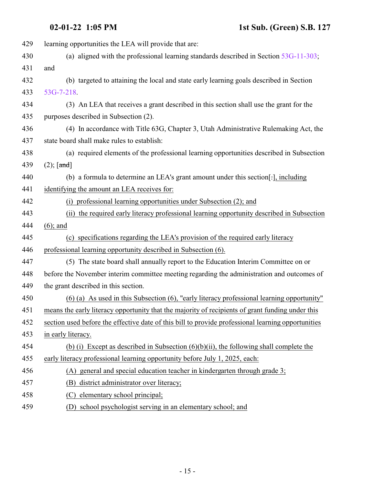| 429 | learning opportunities the LEA will provide that are:                                              |
|-----|----------------------------------------------------------------------------------------------------|
| 430 | (a) aligned with the professional learning standards described in Section $53G-11-303$ ;           |
| 431 | and                                                                                                |
| 432 | (b) targeted to attaining the local and state early learning goals described in Section            |
| 433 | $53G-7-218$ .                                                                                      |
| 434 | (3) An LEA that receives a grant described in this section shall use the grant for the             |
| 435 | purposes described in Subsection (2).                                                              |
| 436 | (4) In accordance with Title 63G, Chapter 3, Utah Administrative Rulemaking Act, the               |
| 437 | state board shall make rules to establish:                                                         |
| 438 | (a) required elements of the professional learning opportunities described in Subsection           |
| 439 | $(2)$ ; [and]                                                                                      |
| 440 | (b) a formula to determine an LEA's grant amount under this section[-], including                  |
| 441 | identifying the amount an LEA receives for:                                                        |
| 442 | (i) professional learning opportunities under Subsection (2); and                                  |
| 443 | (ii) the required early literacy professional learning opportunity described in Subsection         |
| 444 | $(6)$ ; and                                                                                        |
| 445 | (c) specifications regarding the LEA's provision of the required early literacy                    |
| 446 | professional learning opportunity described in Subsection (6).                                     |
| 447 | (5) The state board shall annually report to the Education Interim Committee on or                 |
| 448 | before the November interim committee meeting regarding the administration and outcomes of         |
| 449 | the grant described in this section.                                                               |
| 450 | $(6)$ (a) As used in this Subsection (6), "early literacy professional learning opportunity"       |
| 451 | means the early literacy opportunity that the majority of recipients of grant funding under this   |
| 452 | section used before the effective date of this bill to provide professional learning opportunities |
| 453 | in early literacy.                                                                                 |
| 454 | (b) (i) Except as described in Subsection $(6)(b)(ii)$ , the following shall complete the          |
| 455 | early literacy professional learning opportunity before July 1, 2025, each:                        |
| 456 | (A) general and special education teacher in kindergarten through grade 3;                         |
| 457 | district administrator over literacy;<br>(B)                                                       |
| 458 | elementary school principal;<br>(C)                                                                |
| 459 | school psychologist serving in an elementary school; and<br>(D)                                    |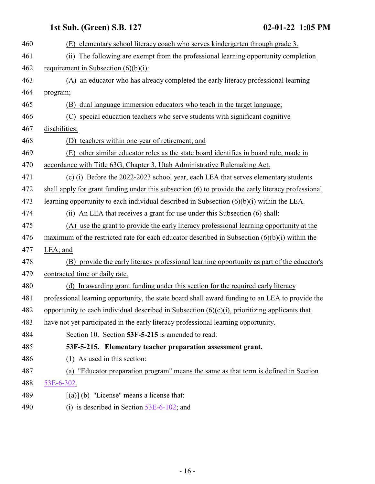<span id="page-15-0"></span>

| 460 | (E) elementary school literacy coach who serves kindergarten through grade 3.                      |
|-----|----------------------------------------------------------------------------------------------------|
| 461 | The following are exempt from the professional learning opportunity completion<br>(ii)             |
| 462 | requirement in Subsection $(6)(b)(i)$ :                                                            |
| 463 | (A) an educator who has already completed the early literacy professional learning                 |
| 464 | program;                                                                                           |
| 465 | dual language immersion educators who teach in the target language;<br>(B)                         |
| 466 | special education teachers who serve students with significant cognitive<br>(C)                    |
| 467 | disabilities;                                                                                      |
| 468 | teachers within one year of retirement; and<br>(D)                                                 |
| 469 | (E) other similar educator roles as the state board identifies in board rule, made in              |
| 470 | accordance with Title 63G, Chapter 3, Utah Administrative Rulemaking Act.                          |
| 471 | (c) (i) Before the 2022-2023 school year, each LEA that serves elementary students                 |
| 472 | shall apply for grant funding under this subsection (6) to provide the early literacy professional |
| 473 | learning opportunity to each individual described in Subsection $(6)(b)(i)$ within the LEA.        |
| 474 | (ii) An LEA that receives a grant for use under this Subsection (6) shall:                         |
| 475 | (A) use the grant to provide the early literacy professional learning opportunity at the           |
| 476 | maximum of the restricted rate for each educator described in Subsection $(6)(b)(i)$ within the    |
| 477 | $LEA$ ; and                                                                                        |
| 478 | (B) provide the early literacy professional learning opportunity as part of the educator's         |
| 479 | contracted time or daily rate.                                                                     |
| 480 | (d) In awarding grant funding under this section for the required early literacy                   |
| 481 | professional learning opportunity, the state board shall award funding to an LEA to provide the    |
| 482 | opportunity to each individual described in Subsection $(6)(c)(i)$ , prioritizing applicants that  |
| 483 | have not yet participated in the early literacy professional learning opportunity.                 |
| 484 | Section 10. Section 53F-5-215 is amended to read:                                                  |
| 485 | 53F-5-215. Elementary teacher preparation assessment grant.                                        |
| 486 | (1) As used in this section:                                                                       |
| 487 | (a) "Educator preparation program" means the same as that term is defined in Section               |
| 488 | 53E-6-302.                                                                                         |
| 489 | $\left[\frac{1}{2}\right]$ (b) "License" means a license that:                                     |
| 490 | (i) is described in Section $53E-6-102$ ; and                                                      |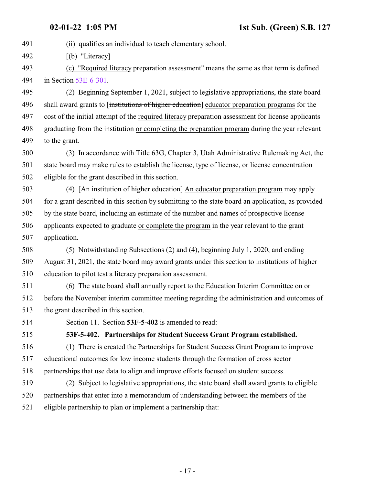491 (ii) qualifies an individual to teach elementary school.

492  $[(b)$  "Literacy]

 (c) "Required literacy preparation assessment" means the same as that term is defined in Section [53E-6-301](#page-10-0).

 (2) Beginning September 1, 2021, subject to legislative appropriations, the state board 496 shall award grants to finitiations of higher education educator preparation programs for the cost of the initial attempt of the required literacy preparation assessment for license applicants graduating from the institution or completing the preparation program during the year relevant to the grant.

 (3) In accordance with Title 63G, Chapter 3, Utah Administrative Rulemaking Act, the state board may make rules to establish the license, type of license, or license concentration eligible for the grant described in this section.

 (4) [An institution of higher education] An educator preparation program may apply for a grant described in this section by submitting to the state board an application, as provided by the state board, including an estimate of the number and names of prospective license applicants expected to graduate or complete the program in the year relevant to the grant application.

 (5) Notwithstanding Subsections (2) and (4), beginning July 1, 2020, and ending August 31, 2021, the state board may award grants under this section to institutions of higher education to pilot test a literacy preparation assessment.

 (6) The state board shall annually report to the Education Interim Committee on or before the November interim committee meeting regarding the administration and outcomes of the grant described in this section.

<span id="page-16-0"></span>Section 11. Section **53F-5-402** is amended to read:

**53F-5-402. Partnerships for Student Success Grant Program established.**

 (1) There is created the Partnerships for Student Success Grant Program to improve educational outcomes for low income students through the formation of cross sector partnerships that use data to align and improve efforts focused on student success.

 (2) Subject to legislative appropriations, the state board shall award grants to eligible partnerships that enter into a memorandum of understanding between the members of the eligible partnership to plan or implement a partnership that: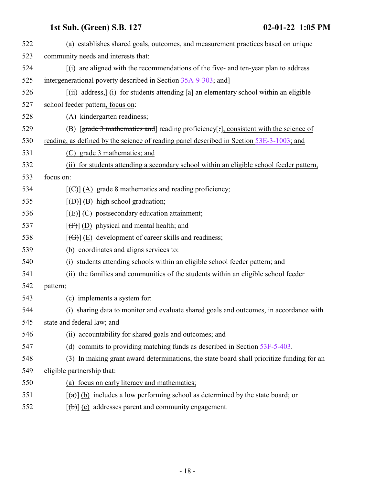| 522 | (a) establishes shared goals, outcomes, and measurement practices based on unique                                |
|-----|------------------------------------------------------------------------------------------------------------------|
| 523 | community needs and interests that:                                                                              |
| 524 | $(i)$ are aligned with the recommendations of the five- and ten-year plan to address                             |
| 525 | intergenerational poverty described in Section 35A-9-303; and                                                    |
| 526 | $[\overrightarrow{(ii)} \text{ address}]$ (i) for students attending [a] an elementary school within an eligible |
| 527 | school feeder pattern, focus on:                                                                                 |
| 528 | (A) kindergarten readiness;                                                                                      |
| 529 | (B) [grade 3 mathematics and] reading proficiency[;], consistent with the science of                             |
| 530 | reading, as defined by the science of reading panel described in Section 53E-3-1003; and                         |
| 531 | (C) grade 3 mathematics; and                                                                                     |
| 532 | (ii) for students attending a secondary school within an eligible school feeder pattern,                         |
| 533 | focus on:                                                                                                        |
| 534 | $[\text{ }(\text{ }(\text{ }))$ (A) grade 8 mathematics and reading proficiency;                                 |
| 535 | $[\overline{(B)}]$ (B) high school graduation;                                                                   |
| 536 | $[\text{fE}](C)$ postsecondary education attainment;                                                             |
| 537 | $[f(f)]$ (D) physical and mental health; and                                                                     |
| 538 | $[\text{f}\Theta]$ (E) development of career skills and readiness;                                               |
| 539 | (b) coordinates and aligns services to:                                                                          |
| 540 | (i) students attending schools within an eligible school feeder pattern; and                                     |
| 541 | (ii) the families and communities of the students within an eligible school feeder                               |
| 542 | pattern;                                                                                                         |
| 543 | (c) implements a system for:                                                                                     |
| 544 | (i) sharing data to monitor and evaluate shared goals and outcomes, in accordance with                           |
| 545 | state and federal law; and                                                                                       |
| 546 | (ii) accountability for shared goals and outcomes; and                                                           |
| 547 | (d) commits to providing matching funds as described in Section $53F-5-403$ .                                    |
| 548 | (3) In making grant award determinations, the state board shall prioritize funding for an                        |
| 549 | eligible partnership that:                                                                                       |
| 550 | (a) focus on early literacy and mathematics;                                                                     |
| 551 | $\left[\frac{1}{2}\right]$ (b) includes a low performing school as determined by the state board; or             |
| 552 | $[\text{(+)}]$ (c) addresses parent and community engagement.                                                    |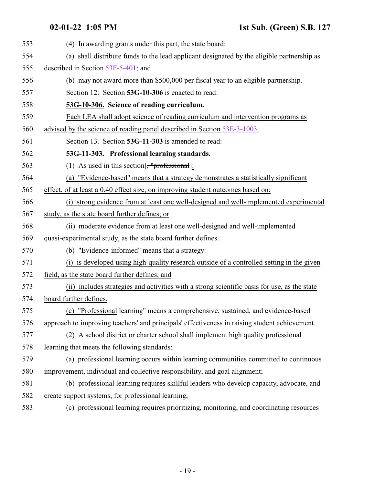<span id="page-18-1"></span><span id="page-18-0"></span>

| 553 | (4) In awarding grants under this part, the state board:                                      |
|-----|-----------------------------------------------------------------------------------------------|
| 554 | (a) shall distribute funds to the lead applicant designated by the eligible partnership as    |
| 555 | described in Section $53F-5-401$ ; and                                                        |
| 556 | (b) may not award more than \$500,000 per fiscal year to an eligible partnership.             |
| 557 | Section 12. Section 53G-10-306 is enacted to read:                                            |
| 558 | 53G-10-306. Science of reading curriculum.                                                    |
| 559 | Each LEA shall adopt science of reading curriculum and intervention programs as               |
| 560 | advised by the science of reading panel described in Section 53E-3-1003.                      |
| 561 | Section 13. Section 53G-11-303 is amended to read:                                            |
| 562 | 53G-11-303. Professional learning standards.                                                  |
| 563 | (1) As used in this section $\left[\frac{1}{2} \text{professional}\right]$ :                  |
| 564 | (a) "Evidence-based" means that a strategy demonstrates a statistically significant           |
| 565 | effect, of at least a 0.40 effect size, on improving student outcomes based on:               |
| 566 | (i) strong evidence from at least one well-designed and well-implemented experimental         |
| 567 | study, as the state board further defines; or                                                 |
| 568 | (ii) moderate evidence from at least one well-designed and well-implemented                   |
| 569 | quasi-experimental study, as the state board further defines.                                 |
| 570 | (b) "Evidence-informed" means that a strategy:                                                |
| 571 | (i) is developed using high-quality research outside of a controlled setting in the given     |
| 572 | field, as the state board further defines; and                                                |
| 573 | (ii) includes strategies and activities with a strong scientific basis for use, as the state  |
| 574 | board further defines.                                                                        |
| 575 | (c) "Professional learning" means a comprehensive, sustained, and evidence-based              |
| 576 | approach to improving teachers' and principals' effectiveness in raising student achievement. |
| 577 | (2) A school district or charter school shall implement high quality professional             |
| 578 | learning that meets the following standards:                                                  |
| 579 | (a) professional learning occurs within learning communities committed to continuous          |
| 580 | improvement, individual and collective responsibility, and goal alignment;                    |
| 581 | (b) professional learning requires skillful leaders who develop capacity, advocate, and       |
| 582 | create support systems, for professional learning;                                            |
| 583 | (c) professional learning requires prioritizing, monitoring, and coordinating resources       |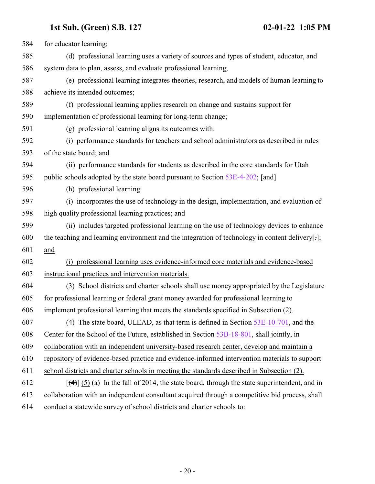| 584 | for educator learning;                                                                                 |
|-----|--------------------------------------------------------------------------------------------------------|
| 585 | (d) professional learning uses a variety of sources and types of student, educator, and                |
| 586 | system data to plan, assess, and evaluate professional learning;                                       |
| 587 | (e) professional learning integrates theories, research, and models of human learning to               |
| 588 | achieve its intended outcomes;                                                                         |
| 589 | (f) professional learning applies research on change and sustains support for                          |
| 590 | implementation of professional learning for long-term change;                                          |
| 591 | (g) professional learning aligns its outcomes with:                                                    |
| 592 | (i) performance standards for teachers and school administrators as described in rules                 |
| 593 | of the state board; and                                                                                |
| 594 | (ii) performance standards for students as described in the core standards for Utah                    |
| 595 | public schools adopted by the state board pursuant to Section $53E-4-202$ ; [and]                      |
| 596 | (h) professional learning:                                                                             |
| 597 | (i) incorporates the use of technology in the design, implementation, and evaluation of                |
| 598 | high quality professional learning practices; and                                                      |
| 599 | (ii) includes targeted professional learning on the use of technology devices to enhance               |
| 600 | the teaching and learning environment and the integration of technology in content delivery.           |
| 601 | and                                                                                                    |
| 602 | (i) professional learning uses evidence-informed core materials and evidence-based                     |
| 603 | instructional practices and intervention materials.                                                    |
| 604 | (3) School districts and charter schools shall use money appropriated by the Legislature               |
| 605 | for professional learning or federal grant money awarded for professional learning to                  |
| 606 | implement professional learning that meets the standards specified in Subsection (2).                  |
| 607 | (4) The state board, ULEAD, as that term is defined in Section 53E-10-701, and the                     |
| 608 | Center for the School of the Future, established in Section 53B-18-801, shall jointly, in              |
| 609 | collaboration with an independent university-based research center, develop and maintain a             |
| 610 | repository of evidence-based practice and evidence-informed intervention materials to support          |
| 611 | school districts and charter schools in meeting the standards described in Subsection (2).             |
| 612 | $[\frac{4}{3}]$ (5) (a) In the fall of 2014, the state board, through the state superintendent, and in |
| 613 | collaboration with an independent consultant acquired through a competitive bid process, shall         |
| 614 | conduct a statewide survey of school districts and charter schools to:                                 |